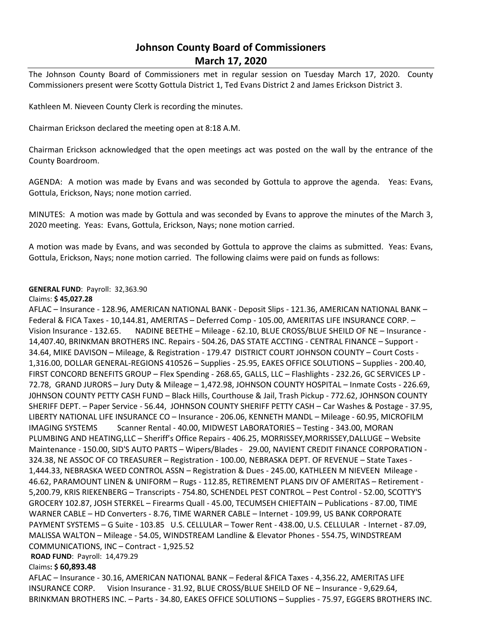# **Johnson County Board of Commissioners March 17, 2020**

The Johnson County Board of Commissioners met in regular session on Tuesday March 17, 2020. County Commissioners present were Scotty Gottula District 1, Ted Evans District 2 and James Erickson District 3.

Kathleen M. Nieveen County Clerk is recording the minutes.

Chairman Erickson declared the meeting open at 8:18 A.M.

Chairman Erickson acknowledged that the open meetings act was posted on the wall by the entrance of the County Boardroom.

AGENDA: A motion was made by Evans and was seconded by Gottula to approve the agenda. Yeas: Evans, Gottula, Erickson, Nays; none motion carried.

MINUTES: A motion was made by Gottula and was seconded by Evans to approve the minutes of the March 3, 2020 meeting. Yeas: Evans, Gottula, Erickson, Nays; none motion carried.

A motion was made by Evans, and was seconded by Gottula to approve the claims as submitted. Yeas: Evans, Gottula, Erickson, Nays; none motion carried. The following claims were paid on funds as follows:

## **GENERAL FUND**: Payroll: 32,363.90

## Claims: **\$ 45,027.28**

AFLAC – Insurance - 128.96, AMERICAN NATIONAL BANK - Deposit Slips - 121.36, AMERICAN NATIONAL BANK – Federal & FICA Taxes - 10,144.81, AMERITAS – Deferred Comp - 105.00, AMERITAS LIFE INSURANCE CORP. – Vision Insurance - 132.65. NADINE BEETHE – Mileage - 62.10, BLUE CROSS/BLUE SHEILD OF NE – Insurance - 14,407.40, BRINKMAN BROTHERS INC. Repairs - 504.26, DAS STATE ACCTING - CENTRAL FINANCE – Support - 34.64, MIKE DAVISON – Mileage, & Registration - 179.47 DISTRICT COURT JOHNSON COUNTY – Court Costs - 1,316.00, DOLLAR GENERAL-REGIONS 410526 – Supplies - 25.95, EAKES OFFICE SOLUTIONS – Supplies - 200.40, FIRST CONCORD BENEFITS GROUP – Flex Spending - 268.65, GALLS, LLC – Flashlights - 232.26, GC SERVICES LP - 72.78, GRAND JURORS – Jury Duty & Mileage – 1,472.98, JOHNSON COUNTY HOSPITAL – Inmate Costs - 226.69, J0HNSON COUNTY PETTY CASH FUND – Black Hills, Courthouse & Jail, Trash Pickup - 772.62, JOHNSON COUNTY SHERIFF DEPT. – Paper Service - 56.44, JOHNSON COUNTY SHERIFF PETTY CASH – Car Washes & Postage - 37.95, LIBERTY NATIONAL LIFE INSURANCE CO – Insurance - 206.06, KENNETH MANDL – Mileage - 60.95, MICROFILM IMAGING SYSTEMS Scanner Rental - 40.00, MIDWEST LABORATORIES - Testing - 343.00, MORAN PLUMBING AND HEATING,LLC – Sheriff's Office Repairs - 406.25, MORRISSEY,MORRISSEY,DALLUGE – Website Maintenance - 150.00, SID'S AUTO PARTS – Wipers/Blades - 29.00, NAVIENT CREDIT FINANCE CORPORATION - 324.38, NE ASSOC OF CO TREASURER – Registration - 100.00, NEBRASKA DEPT. OF REVENUE – State Taxes - 1,444.33, NEBRASKA WEED CONTROL ASSN – Registration & Dues - 245.00, KATHLEEN M NIEVEEN Mileage - 46.62, PARAMOUNT LINEN & UNIFORM – Rugs - 112.85, RETIREMENT PLANS DIV OF AMERITAS – Retirement - 5,200.79, KRIS RIEKENBERG – Transcripts - 754.80, SCHENDEL PEST CONTROL – Pest Control - 52.00, SCOTTY'S GROCERY 102.87, JOSH STERKEL – Firearms Quall - 45.00, TECUMSEH CHIEFTAIN – Publications - 87.00, TIME WARNER CABLE – HD Converters - 8.76, TIME WARNER CABLE – Internet - 109.99, US BANK CORPORATE PAYMENT SYSTEMS – G Suite - 103.85 U.S. CELLULAR – Tower Rent - 438.00, U.S. CELLULAR - Internet - 87.09, MALISSA WALTON – Mileage - 54.05, WINDSTREAM Landline & Elevator Phones - 554.75, WINDSTREAM COMMUNICATIONS, INC – Contract - 1,925.52

**ROAD FUND**: Payroll: 14,479.29

## Claims**: \$ 60,893.48**

AFLAC – Insurance - 30.16, AMERICAN NATIONAL BANK – Federal &FICA Taxes - 4,356.22, AMERITAS LIFE INSURANCE CORP. Vision Insurance - 31.92, BLUE CROSS/BLUE SHEILD OF NE – Insurance - 9,629.64, BRINKMAN BROTHERS INC. – Parts - 34.80, EAKES OFFICE SOLUTIONS – Supplies - 75.97, EGGERS BROTHERS INC.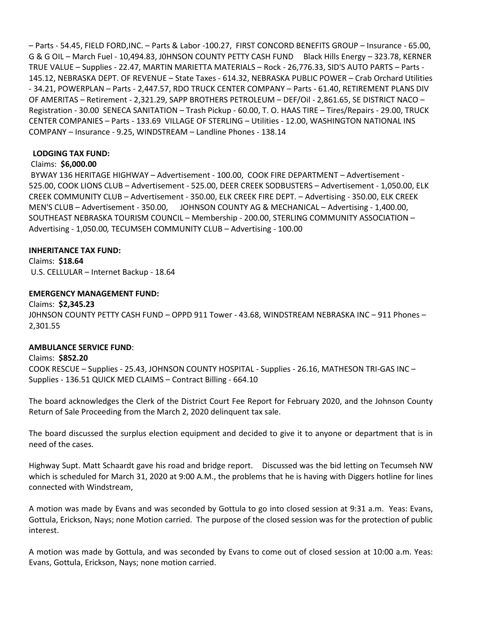– Parts - 54.45, FIELD FORD,INC. – Parts & Labor -100.27, FIRST CONCORD BENEFITS GROUP – Insurance - 65.00, G & G OIL – March Fuel - 10,494.83, J0HNSON COUNTY PETTY CASH FUND Black Hills Energy – 323.78, KERNER TRUE VALUE – Supplies - 22.47, MARTIN MARIETTA MATERIALS – Rock - 26,776.33, SID'S AUTO PARTS – Parts - 145.12, NEBRASKA DEPT. OF REVENUE – State Taxes - 614.32, NEBRASKA PUBLIC POWER – Crab Orchard Utilities - 34.21, POWERPLAN – Parts - 2,447.57, RDO TRUCK CENTER COMPANY – Parts - 61.40, RETIREMENT PLANS DIV OF AMERITAS – Retirement - 2,321.29, SAPP BROTHERS PETROLEUM – DEF/Oil - 2,861.65, SE DISTRICT NACO – Registration - 30.00 SENECA SANITATION – Trash Pickup - 60.00, T. O. HAAS TIRE – Tires/Repairs - 29.00, TRUCK CENTER COMPANIES – Parts - 133.69 VILLAGE OF STERLING – Utilities - 12.00, WASHINGTON NATIONAL INS COMPANY – Insurance - 9.25, WINDSTREAM – Landline Phones - 138.14

#### **LODGING TAX FUND:**

## Claims: **\$6,000.00**

BYWAY 136 HERITAGE HIGHWAY – Advertisement - 100.00, COOK FIRE DEPARTMENT – Advertisement - 525.00, COOK LIONS CLUB – Advertisement - 525.00, DEER CREEK SODBUSTERS – Advertisement - 1,050.00, ELK CREEK COMMUNITY CLUB – Advertisement - 350.00, ELK CREEK FIRE DEPT. – Advertising - 350.00, ELK CREEK MEN'S CLUB – Advertisement - 350.00, JOHNSON COUNTY AG & MECHANICAL – Advertising - 1,400.00, SOUTHEAST NEBRASKA TOURISM COUNCIL – Membership - 200.00, STERLING COMMUNITY ASSOCIATION – Advertising - 1,050.00*,* TECUMSEH COMMUNITY CLUB – Advertising - 100.00

## **INHERITANCE TAX FUND:**

Claims: **\$18.64** U.S. CELLULAR – Internet Backup - 18.64

#### **EMERGENCY MANAGEMENT FUND:**

Claims: **\$2,345.23** J0HNSON COUNTY PETTY CASH FUND – OPPD 911 Tower - 43.68, WINDSTREAM NEBRASKA INC – 911 Phones – 2,301.55

## **AMBULANCE SERVICE FUND**:

Claims: **\$852.20** COOK RESCUE – Supplies - 25.43, JOHNSON COUNTY HOSPITAL - Supplies - 26.16, MATHESON TRI-GAS INC – Supplies - 136.51 QUICK MED CLAIMS – Contract Billing - 664.10

The board acknowledges the Clerk of the District Court Fee Report for February 2020, and the Johnson County Return of Sale Proceeding from the March 2, 2020 delinquent tax sale.

The board discussed the surplus election equipment and decided to give it to anyone or department that is in need of the cases.

Highway Supt. Matt Schaardt gave his road and bridge report. Discussed was the bid letting on Tecumseh NW which is scheduled for March 31, 2020 at 9:00 A.M., the problems that he is having with Diggers hotline for lines connected with Windstream,

A motion was made by Evans and was seconded by Gottula to go into closed session at 9:31 a.m. Yeas: Evans, Gottula, Erickson, Nays; none Motion carried. The purpose of the closed session was for the protection of public interest.

A motion was made by Gottula, and was seconded by Evans to come out of closed session at 10:00 a.m. Yeas: Evans, Gottula, Erickson, Nays; none motion carried.